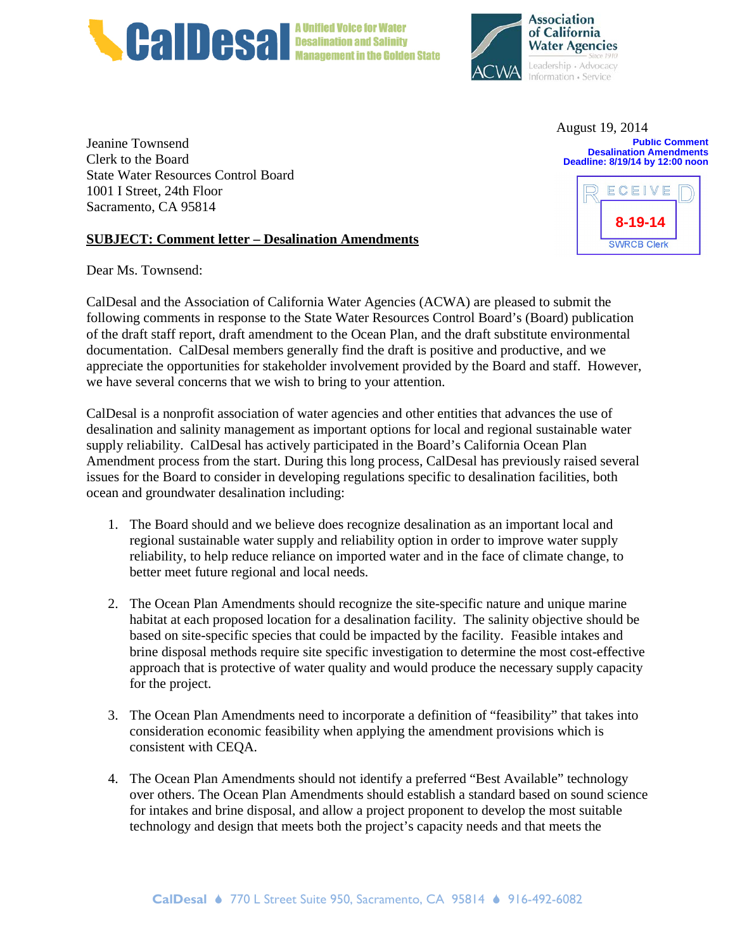



August 19, 2014

**Public Comment Desalination Amendments Deadline: 8/19/14 by 12:00 noon**

**8-19-14**

**SWRCB Clerk** 

ECEIVE

Jeanine Townsend Clerk to the Board State Water Resources Control Board 1001 I Street, 24th Floor Sacramento, CA 95814

#### **SUBJECT: Comment letter – Desalination Amendments**

Dear Ms. Townsend:

CalDesal and the Association of California Water Agencies (ACWA) are pleased to submit the following comments in response to the State Water Resources Control Board's (Board) publication of the draft staff report, draft amendment to the Ocean Plan, and the draft substitute environmental documentation. CalDesal members generally find the draft is positive and productive, and we appreciate the opportunities for stakeholder involvement provided by the Board and staff. However, we have several concerns that we wish to bring to your attention.

CalDesal is a nonprofit association of water agencies and other entities that advances the use of desalination and salinity management as important options for local and regional sustainable water supply reliability. CalDesal has actively participated in the Board's California Ocean Plan Amendment process from the start. During this long process, CalDesal has previously raised several issues for the Board to consider in developing regulations specific to desalination facilities, both ocean and groundwater desalination including:

- 1. The Board should and we believe does recognize desalination as an important local and regional sustainable water supply and reliability option in order to improve water supply reliability, to help reduce reliance on imported water and in the face of climate change, to better meet future regional and local needs.
- 2. The Ocean Plan Amendments should recognize the site-specific nature and unique marine habitat at each proposed location for a desalination facility. The salinity objective should be based on site-specific species that could be impacted by the facility. Feasible intakes and brine disposal methods require site specific investigation to determine the most cost-effective approach that is protective of water quality and would produce the necessary supply capacity for the project.
- 3. The Ocean Plan Amendments need to incorporate a definition of "feasibility" that takes into consideration economic feasibility when applying the amendment provisions which is consistent with CEQA.
- 4. The Ocean Plan Amendments should not identify a preferred "Best Available" technology over others. The Ocean Plan Amendments should establish a standard based on sound science for intakes and brine disposal, and allow a project proponent to develop the most suitable technology and design that meets both the project's capacity needs and that meets the

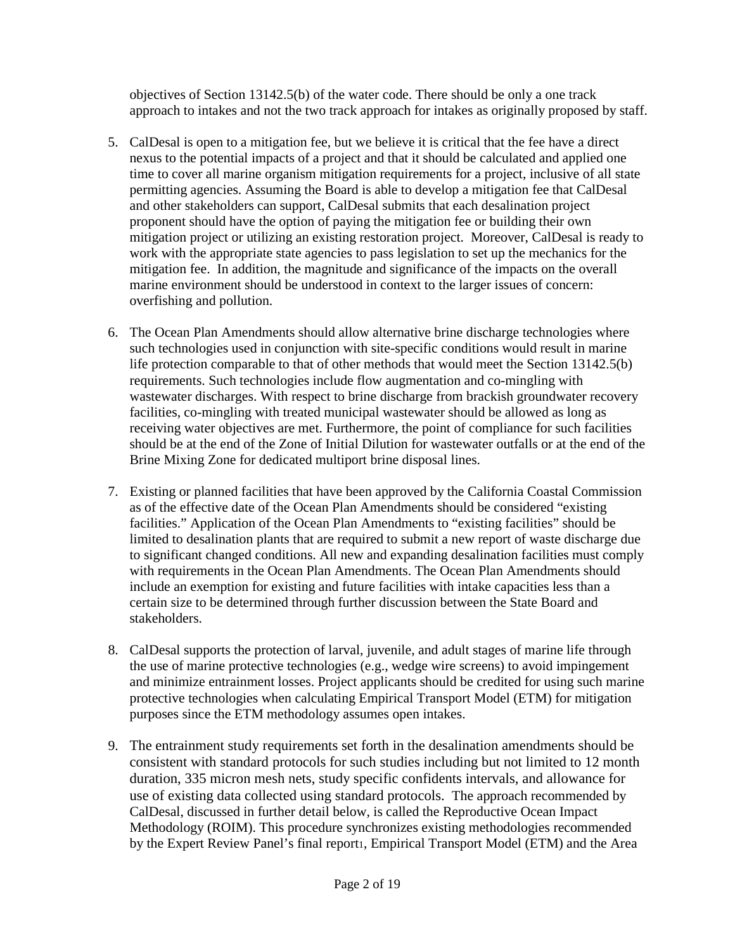objectives of Section 13142.5(b) of the water code. There should be only a one track approach to intakes and not the two track approach for intakes as originally proposed by staff.

- 5. CalDesal is open to a mitigation fee, but we believe it is critical that the fee have a direct nexus to the potential impacts of a project and that it should be calculated and applied one time to cover all marine organism mitigation requirements for a project, inclusive of all state permitting agencies. Assuming the Board is able to develop a mitigation fee that CalDesal and other stakeholders can support, CalDesal submits that each desalination project proponent should have the option of paying the mitigation fee or building their own mitigation project or utilizing an existing restoration project. Moreover, CalDesal is ready to work with the appropriate state agencies to pass legislation to set up the mechanics for the mitigation fee. In addition, the magnitude and significance of the impacts on the overall marine environment should be understood in context to the larger issues of concern: overfishing and pollution.
- 6. The Ocean Plan Amendments should allow alternative brine discharge technologies where such technologies used in conjunction with site-specific conditions would result in marine life protection comparable to that of other methods that would meet the Section 13142.5(b) requirements. Such technologies include flow augmentation and co-mingling with wastewater discharges. With respect to brine discharge from brackish groundwater recovery facilities, co-mingling with treated municipal wastewater should be allowed as long as receiving water objectives are met. Furthermore, the point of compliance for such facilities should be at the end of the Zone of Initial Dilution for wastewater outfalls or at the end of the Brine Mixing Zone for dedicated multiport brine disposal lines.
- 7. Existing or planned facilities that have been approved by the California Coastal Commission as of the effective date of the Ocean Plan Amendments should be considered "existing facilities." Application of the Ocean Plan Amendments to "existing facilities" should be limited to desalination plants that are required to submit a new report of waste discharge due to significant changed conditions. All new and expanding desalination facilities must comply with requirements in the Ocean Plan Amendments. The Ocean Plan Amendments should include an exemption for existing and future facilities with intake capacities less than a certain size to be determined through further discussion between the State Board and stakeholders.
- 8. CalDesal supports the protection of larval, juvenile, and adult stages of marine life through the use of marine protective technologies (e.g., wedge wire screens) to avoid impingement and minimize entrainment losses. Project applicants should be credited for using such marine protective technologies when calculating Empirical Transport Model (ETM) for mitigation purposes since the ETM methodology assumes open intakes.
- 9. The entrainment study requirements set forth in the desalination amendments should be consistent with standard protocols for such studies including but not limited to 12 month duration, 335 micron mesh nets, study specific confidents intervals, and allowance for use of existing data collected using standard protocols. The approach recommended by CalDesal, discussed in further detail below, is called the Reproductive Ocean Impact Methodology (ROIM). This procedure synchronizes existing methodologies recommended by the Expert Review Panel's final report1, Empirical Transport Model (ETM) and the Area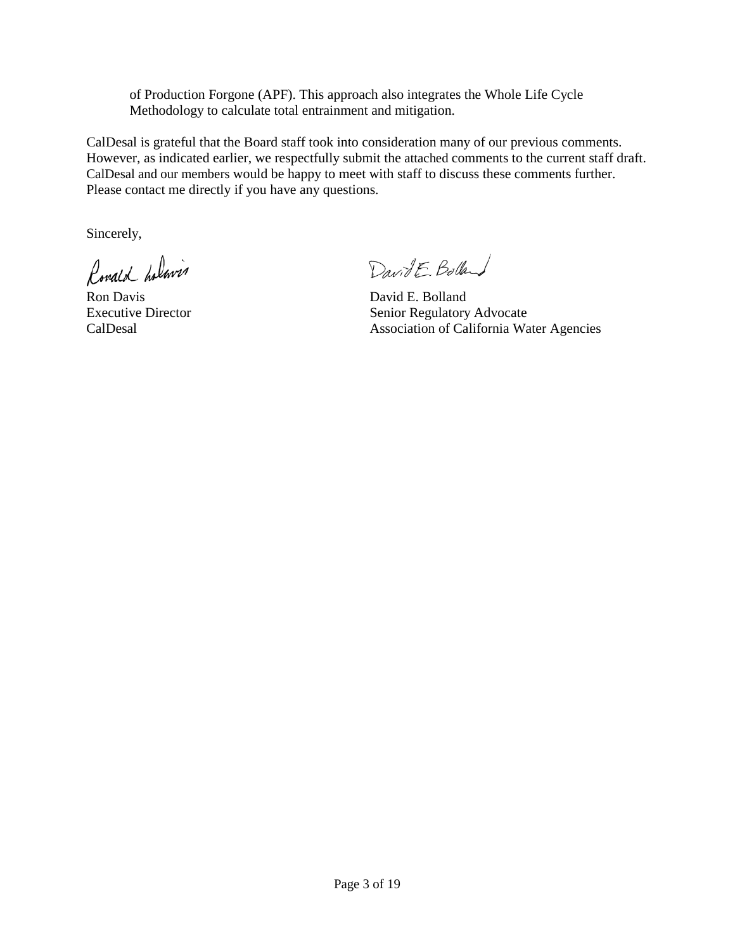of Production Forgone (APF). This approach also integrates the Whole Life Cycle Methodology to calculate total entrainment and mitigation.

CalDesal is grateful that the Board staff took into consideration many of our previous comments. However, as indicated earlier, we respectfully submit the attached comments to the current staff draft. CalDesal and our members would be happy to meet with staff to discuss these comments further. Please contact me directly if you have any questions.

Sincerely,

Ronald holmin

DavidE Bolland

Ron Davis David E. Bolland Executive Director Senior Regulatory Advocate CalDesal Association of California Water Agencies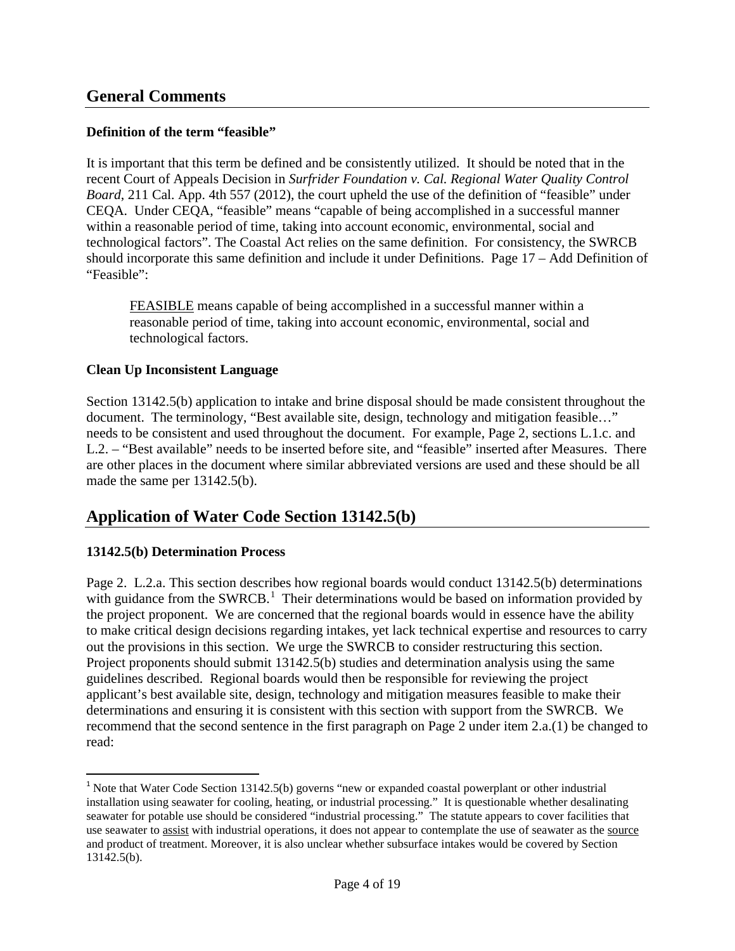### **Definition of the term "feasible"**

It is important that this term be defined and be consistently utilized. It should be noted that in the recent Court of Appeals Decision in *Surfrider Foundation v. Cal. Regional Water Quality Control Board*, 211 Cal. App. 4th 557 (2012), the court upheld the use of the definition of "feasible" under CEQA. Under CEQA, "feasible" means "capable of being accomplished in a successful manner within a reasonable period of time, taking into account economic, environmental, social and technological factors". The Coastal Act relies on the same definition. For consistency, the SWRCB should incorporate this same definition and include it under Definitions. Page 17 – Add Definition of "Feasible":

FEASIBLE means capable of being accomplished in a successful manner within a reasonable period of time, taking into account economic, environmental, social and technological factors.

#### **Clean Up Inconsistent Language**

Section 13142.5(b) application to intake and brine disposal should be made consistent throughout the document. The terminology, "Best available site, design, technology and mitigation feasible..." needs to be consistent and used throughout the document. For example, Page 2, sections L.1.c. and L.2. – "Best available" needs to be inserted before site, and "feasible" inserted after Measures. There are other places in the document where similar abbreviated versions are used and these should be all made the same per 13142.5(b).

## **Application of Water Code Section 13142.5(b)**

## **13142.5(b) Determination Process**

Page 2. L.2.a. This section describes how regional boards would conduct 13142.5(b) determinations with guidance from the SWRCB.<sup>[1](#page-3-0)</sup> Their determinations would be based on information provided by the project proponent. We are concerned that the regional boards would in essence have the ability to make critical design decisions regarding intakes, yet lack technical expertise and resources to carry out the provisions in this section. We urge the SWRCB to consider restructuring this section. Project proponents should submit 13142.5(b) studies and determination analysis using the same guidelines described. Regional boards would then be responsible for reviewing the project applicant's best available site, design, technology and mitigation measures feasible to make their determinations and ensuring it is consistent with this section with support from the SWRCB. We recommend that the second sentence in the first paragraph on Page 2 under item 2.a.(1) be changed to read:

<span id="page-3-0"></span><sup>&</sup>lt;sup>1</sup> Note that Water Code Section 13142.5(b) governs "new or expanded coastal powerplant or other industrial installation using seawater for cooling, heating, or industrial processing." It is questionable whether desalinating seawater for potable use should be considered "industrial processing." The statute appears to cover facilities that use seawater to assist with industrial operations, it does not appear to contemplate the use of seawater as the source and product of treatment. Moreover, it is also unclear whether subsurface intakes would be covered by Section 13142.5(b).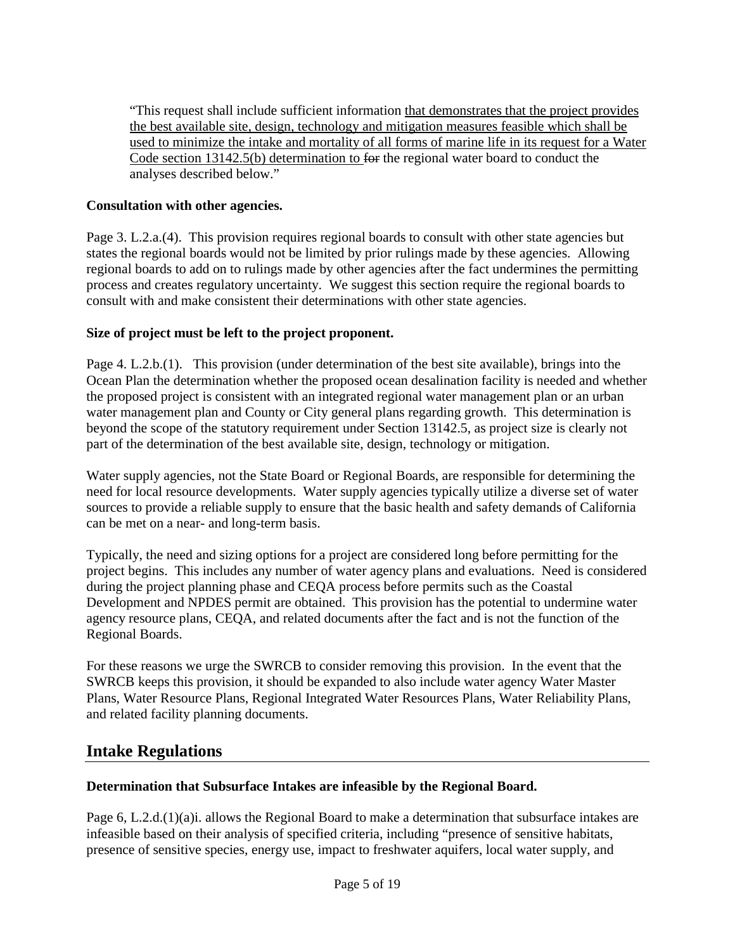"This request shall include sufficient information that demonstrates that the project provides the best available site, design, technology and mitigation measures feasible which shall be used to minimize the intake and mortality of all forms of marine life in its request for a Water Code section 13142.5(b) determination to for the regional water board to conduct the analyses described below."

### **Consultation with other agencies.**

Page 3. L.2.a.(4). This provision requires regional boards to consult with other state agencies but states the regional boards would not be limited by prior rulings made by these agencies. Allowing regional boards to add on to rulings made by other agencies after the fact undermines the permitting process and creates regulatory uncertainty. We suggest this section require the regional boards to consult with and make consistent their determinations with other state agencies.

#### **Size of project must be left to the project proponent.**

Page 4. L.2.b.(1). This provision (under determination of the best site available), brings into the Ocean Plan the determination whether the proposed ocean desalination facility is needed and whether the proposed project is consistent with an integrated regional water management plan or an urban water management plan and County or City general plans regarding growth. This determination is beyond the scope of the statutory requirement under Section 13142.5, as project size is clearly not part of the determination of the best available site, design, technology or mitigation.

Water supply agencies, not the State Board or Regional Boards, are responsible for determining the need for local resource developments. Water supply agencies typically utilize a diverse set of water sources to provide a reliable supply to ensure that the basic health and safety demands of California can be met on a near- and long-term basis.

Typically, the need and sizing options for a project are considered long before permitting for the project begins. This includes any number of water agency plans and evaluations. Need is considered during the project planning phase and CEQA process before permits such as the Coastal Development and NPDES permit are obtained. This provision has the potential to undermine water agency resource plans, CEQA, and related documents after the fact and is not the function of the Regional Boards.

For these reasons we urge the SWRCB to consider removing this provision. In the event that the SWRCB keeps this provision, it should be expanded to also include water agency Water Master Plans, Water Resource Plans, Regional Integrated Water Resources Plans, Water Reliability Plans, and related facility planning documents.

## **Intake Regulations**

#### **Determination that Subsurface Intakes are infeasible by the Regional Board.**

Page 6, L.2.d.(1)(a)i. allows the Regional Board to make a determination that subsurface intakes are infeasible based on their analysis of specified criteria, including "presence of sensitive habitats, presence of sensitive species, energy use, impact to freshwater aquifers, local water supply, and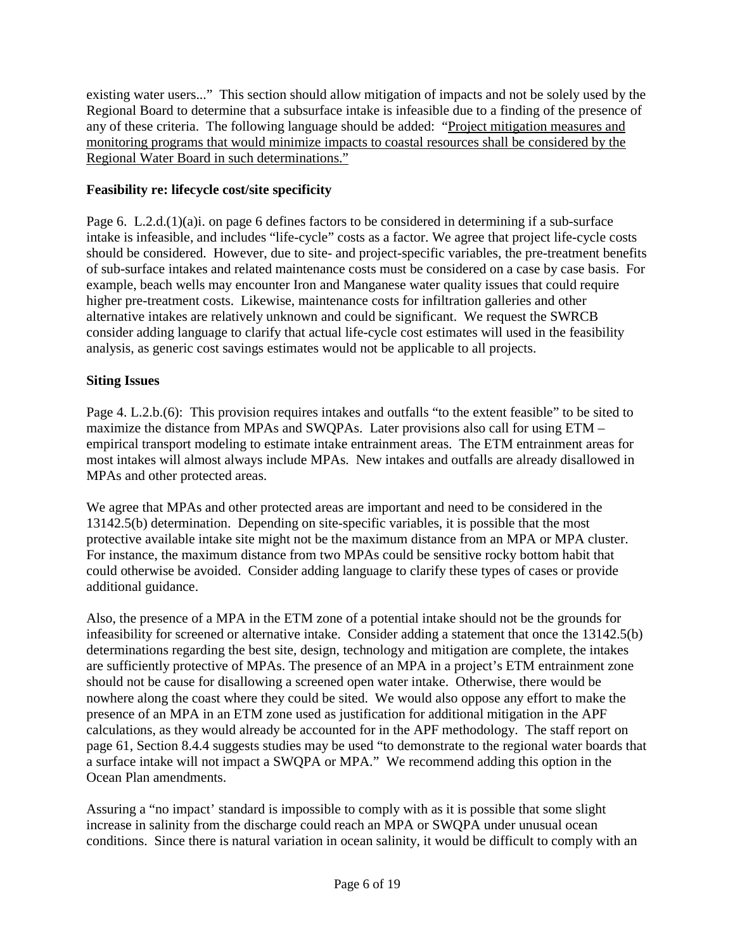existing water users..." This section should allow mitigation of impacts and not be solely used by the Regional Board to determine that a subsurface intake is infeasible due to a finding of the presence of any of these criteria. The following language should be added: "Project mitigation measures and monitoring programs that would minimize impacts to coastal resources shall be considered by the Regional Water Board in such determinations."

## **Feasibility re: lifecycle cost/site specificity**

Page 6. L.2.d.(1)(a)i. on page 6 defines factors to be considered in determining if a sub-surface intake is infeasible, and includes "life-cycle" costs as a factor. We agree that project life-cycle costs should be considered. However, due to site- and project-specific variables, the pre-treatment benefits of sub-surface intakes and related maintenance costs must be considered on a case by case basis. For example, beach wells may encounter Iron and Manganese water quality issues that could require higher pre-treatment costs. Likewise, maintenance costs for infiltration galleries and other alternative intakes are relatively unknown and could be significant. We request the SWRCB consider adding language to clarify that actual life-cycle cost estimates will used in the feasibility analysis, as generic cost savings estimates would not be applicable to all projects.

## **Siting Issues**

Page 4. L.2.b.(6): This provision requires intakes and outfalls "to the extent feasible" to be sited to maximize the distance from MPAs and SWQPAs. Later provisions also call for using ETM – empirical transport modeling to estimate intake entrainment areas. The ETM entrainment areas for most intakes will almost always include MPAs. New intakes and outfalls are already disallowed in MPAs and other protected areas.

We agree that MPAs and other protected areas are important and need to be considered in the 13142.5(b) determination. Depending on site-specific variables, it is possible that the most protective available intake site might not be the maximum distance from an MPA or MPA cluster. For instance, the maximum distance from two MPAs could be sensitive rocky bottom habit that could otherwise be avoided. Consider adding language to clarify these types of cases or provide additional guidance.

Also, the presence of a MPA in the ETM zone of a potential intake should not be the grounds for infeasibility for screened or alternative intake. Consider adding a statement that once the 13142.5(b) determinations regarding the best site, design, technology and mitigation are complete, the intakes are sufficiently protective of MPAs. The presence of an MPA in a project's ETM entrainment zone should not be cause for disallowing a screened open water intake. Otherwise, there would be nowhere along the coast where they could be sited. We would also oppose any effort to make the presence of an MPA in an ETM zone used as justification for additional mitigation in the APF calculations, as they would already be accounted for in the APF methodology. The staff report on page 61, Section 8.4.4 suggests studies may be used "to demonstrate to the regional water boards that a surface intake will not impact a SWQPA or MPA." We recommend adding this option in the Ocean Plan amendments.

Assuring a "no impact' standard is impossible to comply with as it is possible that some slight increase in salinity from the discharge could reach an MPA or SWQPA under unusual ocean conditions. Since there is natural variation in ocean salinity, it would be difficult to comply with an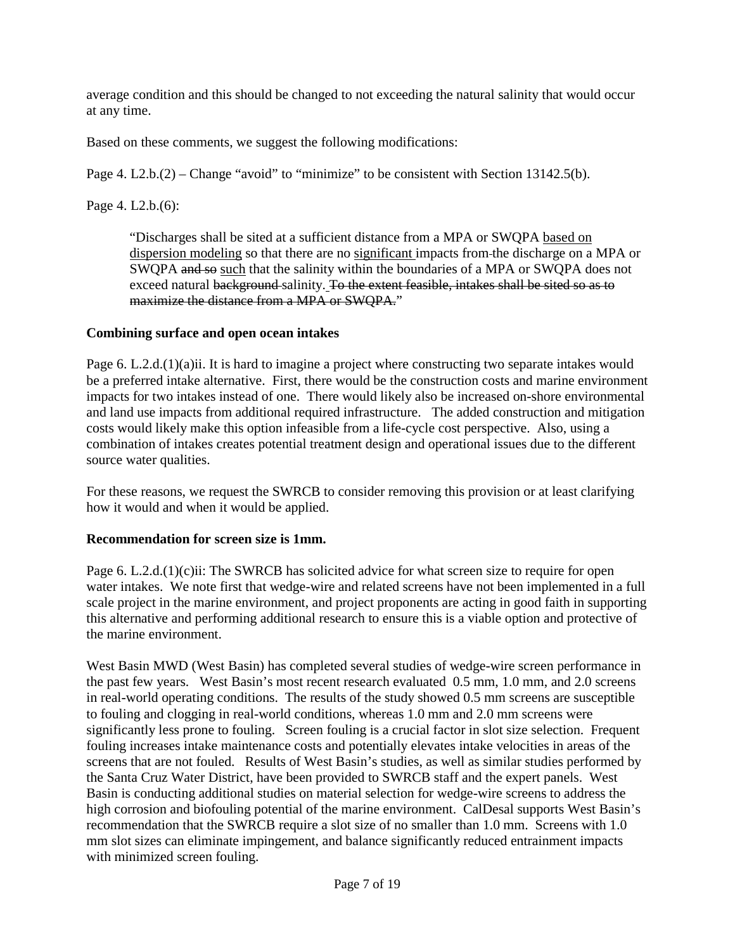average condition and this should be changed to not exceeding the natural salinity that would occur at any time.

Based on these comments, we suggest the following modifications:

Page 4. L2.b.(2) – Change "avoid" to "minimize" to be consistent with Section 13142.5(b).

#### Page 4. L2.b.(6):

"Discharges shall be sited at a sufficient distance from a MPA or SWQPA based on dispersion modeling so that there are no significant impacts from the discharge on a MPA or SWQPA and so such that the salinity within the boundaries of a MPA or SWQPA does not exceed natural background-salinity. To the extent feasible, intakes shall be sited so as to maximize the distance from a MPA or SWQPA."

#### **Combining surface and open ocean intakes**

Page 6. L.2.d.(1)(a)ii. It is hard to imagine a project where constructing two separate intakes would be a preferred intake alternative. First, there would be the construction costs and marine environment impacts for two intakes instead of one. There would likely also be increased on-shore environmental and land use impacts from additional required infrastructure. The added construction and mitigation costs would likely make this option infeasible from a life-cycle cost perspective. Also, using a combination of intakes creates potential treatment design and operational issues due to the different source water qualities.

For these reasons, we request the SWRCB to consider removing this provision or at least clarifying how it would and when it would be applied.

#### **Recommendation for screen size is 1mm.**

Page 6. L.2.d.(1)(c)ii: The SWRCB has solicited advice for what screen size to require for open water intakes. We note first that wedge-wire and related screens have not been implemented in a full scale project in the marine environment, and project proponents are acting in good faith in supporting this alternative and performing additional research to ensure this is a viable option and protective of the marine environment.

West Basin MWD (West Basin) has completed several studies of wedge-wire screen performance in the past few years. West Basin's most recent research evaluated 0.5 mm, 1.0 mm, and 2.0 screens in real-world operating conditions. The results of the study showed 0.5 mm screens are susceptible to fouling and clogging in real-world conditions, whereas 1.0 mm and 2.0 mm screens were significantly less prone to fouling. Screen fouling is a crucial factor in slot size selection. Frequent fouling increases intake maintenance costs and potentially elevates intake velocities in areas of the screens that are not fouled. Results of West Basin's studies, as well as similar studies performed by the Santa Cruz Water District, have been provided to SWRCB staff and the expert panels. West Basin is conducting additional studies on material selection for wedge-wire screens to address the high corrosion and biofouling potential of the marine environment. CalDesal supports West Basin's recommendation that the SWRCB require a slot size of no smaller than 1.0 mm. Screens with 1.0 mm slot sizes can eliminate impingement, and balance significantly reduced entrainment impacts with minimized screen fouling.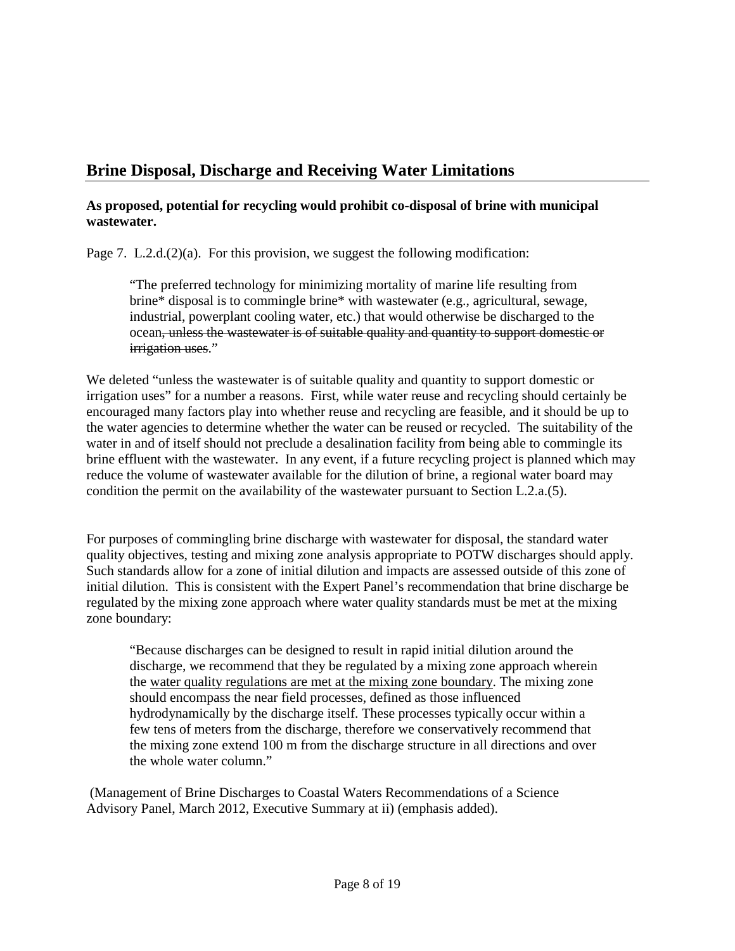# **Brine Disposal, Discharge and Receiving Water Limitations**

## **As proposed, potential for recycling would prohibit co-disposal of brine with municipal wastewater.**

Page 7. L.2.d.(2)(a). For this provision, we suggest the following modification:

"The preferred technology for minimizing mortality of marine life resulting from brine\* disposal is to commingle brine\* with wastewater (e.g., agricultural, sewage, industrial, powerplant cooling water, etc.) that would otherwise be discharged to the ocean, unless the wastewater is of suitable quality and quantity to support domestic or irrigation uses."

We deleted "unless the wastewater is of suitable quality and quantity to support domestic or irrigation uses" for a number a reasons. First, while water reuse and recycling should certainly be encouraged many factors play into whether reuse and recycling are feasible, and it should be up to the water agencies to determine whether the water can be reused or recycled. The suitability of the water in and of itself should not preclude a desalination facility from being able to commingle its brine effluent with the wastewater. In any event, if a future recycling project is planned which may reduce the volume of wastewater available for the dilution of brine, a regional water board may condition the permit on the availability of the wastewater pursuant to Section L.2.a.(5).

For purposes of commingling brine discharge with wastewater for disposal, the standard water quality objectives, testing and mixing zone analysis appropriate to POTW discharges should apply. Such standards allow for a zone of initial dilution and impacts are assessed outside of this zone of initial dilution. This is consistent with the Expert Panel's recommendation that brine discharge be regulated by the mixing zone approach where water quality standards must be met at the mixing zone boundary:

"Because discharges can be designed to result in rapid initial dilution around the discharge, we recommend that they be regulated by a mixing zone approach wherein the water quality regulations are met at the mixing zone boundary. The mixing zone should encompass the near field processes, defined as those influenced hydrodynamically by the discharge itself. These processes typically occur within a few tens of meters from the discharge, therefore we conservatively recommend that the mixing zone extend 100 m from the discharge structure in all directions and over the whole water column."

(Management of Brine Discharges to Coastal Waters Recommendations of a Science Advisory Panel, March 2012, Executive Summary at ii) (emphasis added).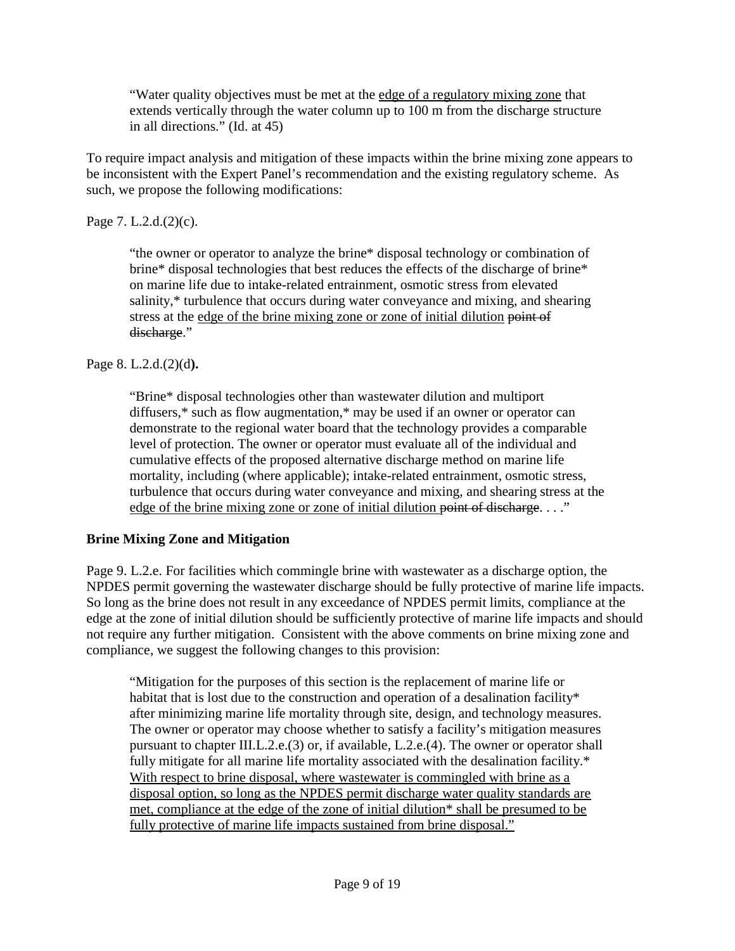"Water quality objectives must be met at the edge of a regulatory mixing zone that extends vertically through the water column up to 100 m from the discharge structure in all directions." (Id. at 45)

To require impact analysis and mitigation of these impacts within the brine mixing zone appears to be inconsistent with the Expert Panel's recommendation and the existing regulatory scheme. As such, we propose the following modifications:

Page 7. L.2.d.(2)(c).

"the owner or operator to analyze the brine\* disposal technology or combination of brine\* disposal technologies that best reduces the effects of the discharge of brine\* on marine life due to intake-related entrainment, osmotic stress from elevated salinity,\* turbulence that occurs during water conveyance and mixing, and shearing stress at the edge of the brine mixing zone or zone of initial dilution point of discharge."

Page 8. L.2.d.(2)(d**).** 

"Brine\* disposal technologies other than wastewater dilution and multiport diffusers,\* such as flow augmentation,\* may be used if an owner or operator can demonstrate to the regional water board that the technology provides a comparable level of protection. The owner or operator must evaluate all of the individual and cumulative effects of the proposed alternative discharge method on marine life mortality, including (where applicable); intake-related entrainment, osmotic stress, turbulence that occurs during water conveyance and mixing, and shearing stress at the edge of the brine mixing zone or zone of initial dilution point of discharge. . . ."

## **Brine Mixing Zone and Mitigation**

Page 9. L.2.e. For facilities which commingle brine with wastewater as a discharge option, the NPDES permit governing the wastewater discharge should be fully protective of marine life impacts. So long as the brine does not result in any exceedance of NPDES permit limits, compliance at the edge at the zone of initial dilution should be sufficiently protective of marine life impacts and should not require any further mitigation. Consistent with the above comments on brine mixing zone and compliance, we suggest the following changes to this provision:

"Mitigation for the purposes of this section is the replacement of marine life or habitat that is lost due to the construction and operation of a desalination facility\* after minimizing marine life mortality through site, design, and technology measures. The owner or operator may choose whether to satisfy a facility's mitigation measures pursuant to chapter III.L.2.e.(3) or, if available, L.2.e.(4). The owner or operator shall fully mitigate for all marine life mortality associated with the desalination facility.\* With respect to brine disposal, where wastewater is commingled with brine as a disposal option, so long as the NPDES permit discharge water quality standards are met, compliance at the edge of the zone of initial dilution\* shall be presumed to be fully protective of marine life impacts sustained from brine disposal."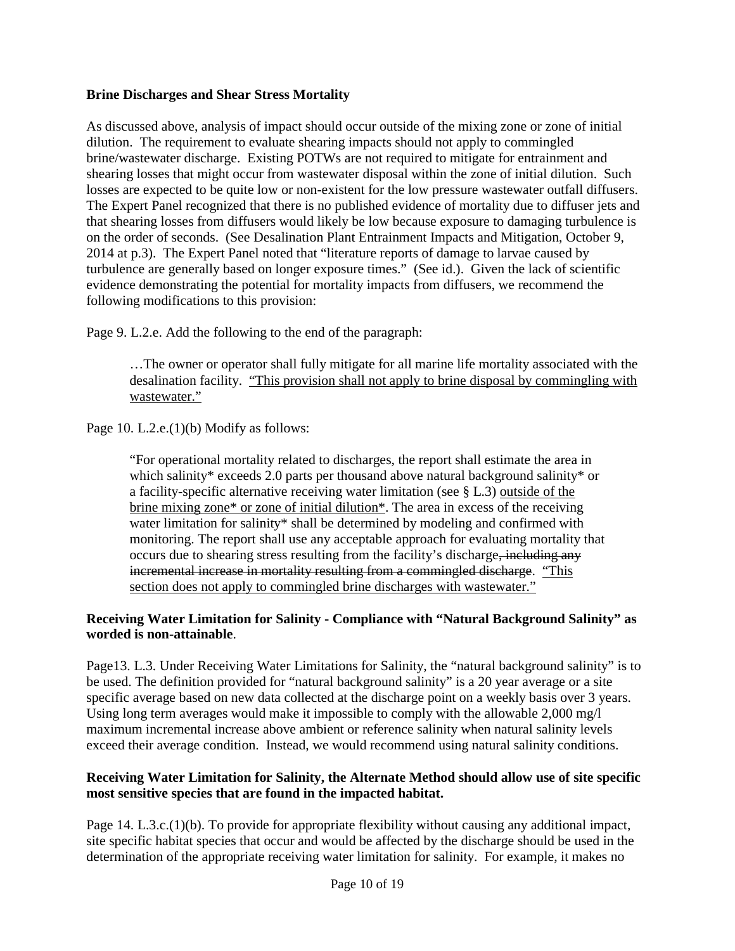#### **Brine Discharges and Shear Stress Mortality**

As discussed above, analysis of impact should occur outside of the mixing zone or zone of initial dilution. The requirement to evaluate shearing impacts should not apply to commingled brine/wastewater discharge. Existing POTWs are not required to mitigate for entrainment and shearing losses that might occur from wastewater disposal within the zone of initial dilution. Such losses are expected to be quite low or non-existent for the low pressure wastewater outfall diffusers. The Expert Panel recognized that there is no published evidence of mortality due to diffuser jets and that shearing losses from diffusers would likely be low because exposure to damaging turbulence is on the order of seconds. (See Desalination Plant Entrainment Impacts and Mitigation, October 9, 2014 at p.3). The Expert Panel noted that "literature reports of damage to larvae caused by turbulence are generally based on longer exposure times." (See id.). Given the lack of scientific evidence demonstrating the potential for mortality impacts from diffusers, we recommend the following modifications to this provision:

Page 9. L.2.e. Add the following to the end of the paragraph:

…The owner or operator shall fully mitigate for all marine life mortality associated with the desalination facility. "This provision shall not apply to brine disposal by commingling with wastewater."

Page 10. L.2.e.(1)(b) Modify as follows:

"For operational mortality related to discharges, the report shall estimate the area in which salinity\* exceeds 2.0 parts per thousand above natural background salinity\* or a facility-specific alternative receiving water limitation (see § L.3) outside of the brine mixing zone\* or zone of initial dilution\*. The area in excess of the receiving water limitation for salinity\* shall be determined by modeling and confirmed with monitoring. The report shall use any acceptable approach for evaluating mortality that occurs due to shearing stress resulting from the facility's discharge, including any incremental increase in mortality resulting from a commingled discharge. "This section does not apply to commingled brine discharges with wastewater."

#### **Receiving Water Limitation for Salinity - Compliance with "Natural Background Salinity" as worded is non-attainable**.

Page13. L.3. Under Receiving Water Limitations for Salinity, the "natural background salinity" is to be used. The definition provided for "natural background salinity" is a 20 year average or a site specific average based on new data collected at the discharge point on a weekly basis over 3 years. Using long term averages would make it impossible to comply with the allowable 2,000 mg/l maximum incremental increase above ambient or reference salinity when natural salinity levels exceed their average condition. Instead, we would recommend using natural salinity conditions.

#### **Receiving Water Limitation for Salinity, the Alternate Method should allow use of site specific most sensitive species that are found in the impacted habitat.**

Page 14. L.3.c.(1)(b). To provide for appropriate flexibility without causing any additional impact, site specific habitat species that occur and would be affected by the discharge should be used in the determination of the appropriate receiving water limitation for salinity. For example, it makes no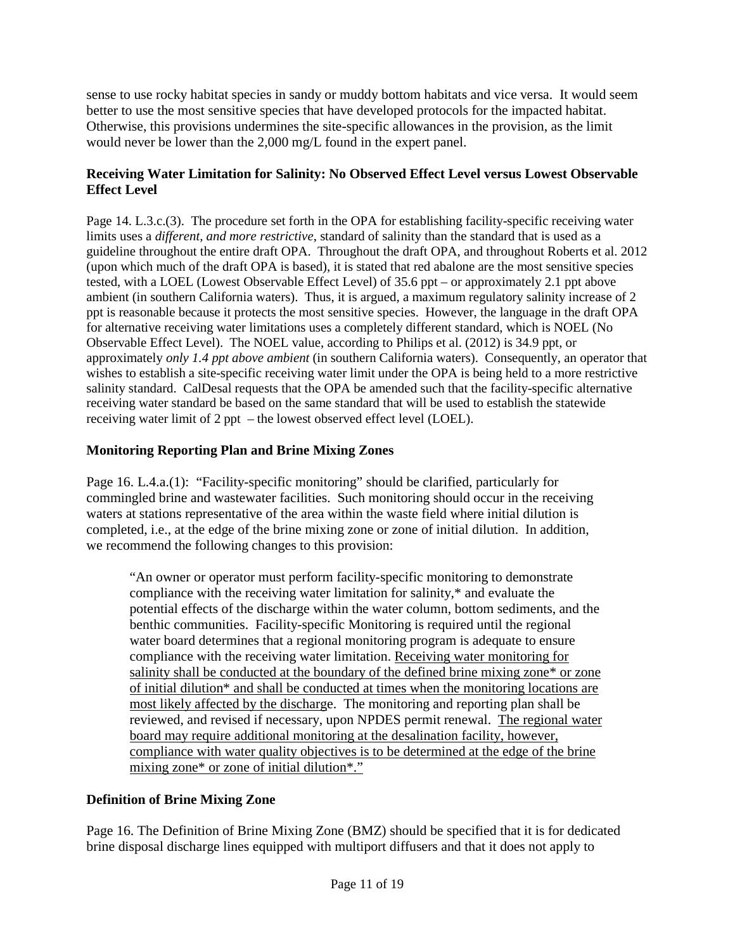sense to use rocky habitat species in sandy or muddy bottom habitats and vice versa. It would seem better to use the most sensitive species that have developed protocols for the impacted habitat. Otherwise, this provisions undermines the site-specific allowances in the provision, as the limit would never be lower than the 2,000 mg/L found in the expert panel.

## **Receiving Water Limitation for Salinity: No Observed Effect Level versus Lowest Observable Effect Level**

Page 14. L.3.c.(3). The procedure set forth in the OPA for establishing facility-specific receiving water limits uses a *different, and more restrictive*, standard of salinity than the standard that is used as a guideline throughout the entire draft OPA. Throughout the draft OPA, and throughout Roberts et al. 2012 (upon which much of the draft OPA is based), it is stated that red abalone are the most sensitive species tested, with a LOEL (Lowest Observable Effect Level) of 35.6 ppt – or approximately 2.1 ppt above ambient (in southern California waters). Thus, it is argued, a maximum regulatory salinity increase of 2 ppt is reasonable because it protects the most sensitive species. However, the language in the draft OPA for alternative receiving water limitations uses a completely different standard, which is NOEL (No Observable Effect Level).The NOEL value, according to Philips et al. (2012) is 34.9 ppt, or approximately *only 1.4 ppt above ambient* (in southern California waters). Consequently, an operator that wishes to establish a site-specific receiving water limit under the OPA is being held to a more restrictive salinity standard. CalDesal requests that the OPA be amended such that the facility-specific alternative receiving water standard be based on the same standard that will be used to establish the statewide receiving water limit of 2 ppt – the lowest observed effect level (LOEL).

## **Monitoring Reporting Plan and Brine Mixing Zones**

Page 16. L.4.a.(1): "Facility-specific monitoring" should be clarified, particularly for commingled brine and wastewater facilities. Such monitoring should occur in the receiving waters at stations representative of the area within the waste field where initial dilution is completed, i.e., at the edge of the brine mixing zone or zone of initial dilution. In addition, we recommend the following changes to this provision:

"An owner or operator must perform facility-specific monitoring to demonstrate compliance with the receiving water limitation for salinity,\* and evaluate the potential effects of the discharge within the water column, bottom sediments, and the benthic communities. Facility-specific Monitoring is required until the regional water board determines that a regional monitoring program is adequate to ensure compliance with the receiving water limitation. Receiving water monitoring for salinity shall be conducted at the boundary of the defined brine mixing zone\* or zone of initial dilution\* and shall be conducted at times when the monitoring locations are most likely affected by the discharge. The monitoring and reporting plan shall be reviewed, and revised if necessary, upon NPDES permit renewal. The regional water board may require additional monitoring at the desalination facility, however, compliance with water quality objectives is to be determined at the edge of the brine mixing zone\* or zone of initial dilution\*."

## **Definition of Brine Mixing Zone**

Page 16. The Definition of Brine Mixing Zone (BMZ) should be specified that it is for dedicated brine disposal discharge lines equipped with multiport diffusers and that it does not apply to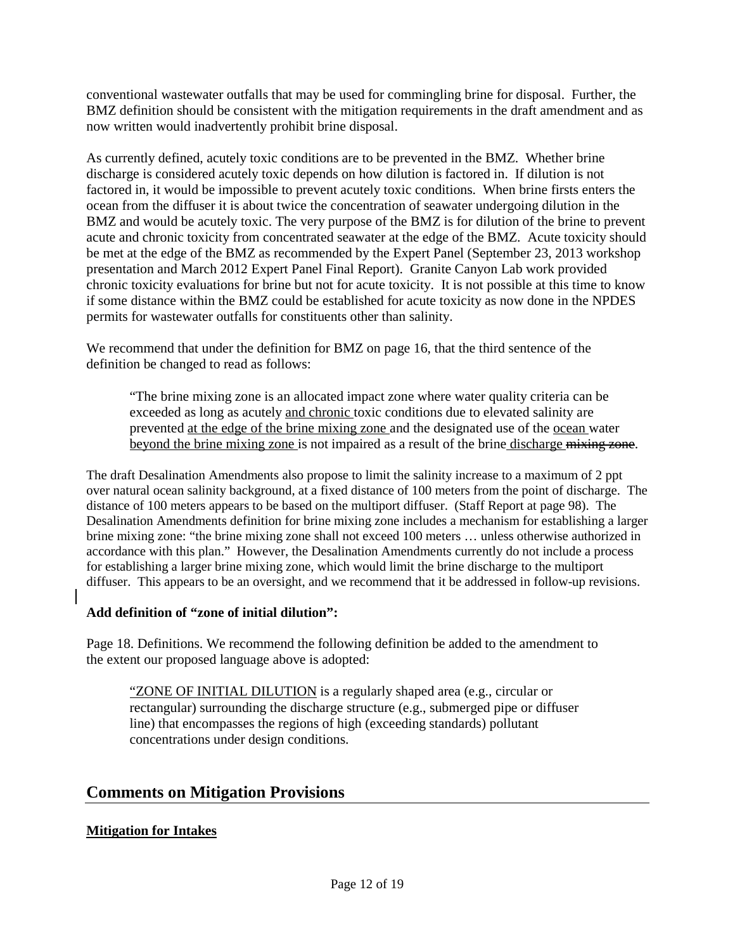conventional wastewater outfalls that may be used for commingling brine for disposal. Further, the BMZ definition should be consistent with the mitigation requirements in the draft amendment and as now written would inadvertently prohibit brine disposal.

As currently defined, acutely toxic conditions are to be prevented in the BMZ. Whether brine discharge is considered acutely toxic depends on how dilution is factored in. If dilution is not factored in, it would be impossible to prevent acutely toxic conditions. When brine firsts enters the ocean from the diffuser it is about twice the concentration of seawater undergoing dilution in the BMZ and would be acutely toxic. The very purpose of the BMZ is for dilution of the brine to prevent acute and chronic toxicity from concentrated seawater at the edge of the BMZ. Acute toxicity should be met at the edge of the BMZ as recommended by the Expert Panel (September 23, 2013 workshop presentation and March 2012 Expert Panel Final Report). Granite Canyon Lab work provided chronic toxicity evaluations for brine but not for acute toxicity. It is not possible at this time to know if some distance within the BMZ could be established for acute toxicity as now done in the NPDES permits for wastewater outfalls for constituents other than salinity.

We recommend that under the definition for BMZ on page 16, that the third sentence of the definition be changed to read as follows:

"The brine mixing zone is an allocated impact zone where water quality criteria can be exceeded as long as acutely and chronic toxic conditions due to elevated salinity are prevented at the edge of the brine mixing zone and the designated use of the ocean water beyond the brine mixing zone is not impaired as a result of the brine discharge mixing zone.

The draft Desalination Amendments also propose to limit the salinity increase to a maximum of 2 ppt over natural ocean salinity background, at a fixed distance of 100 meters from the point of discharge. The distance of 100 meters appears to be based on the multiport diffuser. (Staff Report at page 98). The Desalination Amendments definition for brine mixing zone includes a mechanism for establishing a larger brine mixing zone: "the brine mixing zone shall not exceed 100 meters … unless otherwise authorized in accordance with this plan." However, the Desalination Amendments currently do not include a process for establishing a larger brine mixing zone, which would limit the brine discharge to the multiport diffuser. This appears to be an oversight, and we recommend that it be addressed in follow-up revisions.

## **Add definition of "zone of initial dilution":**

Page 18. Definitions. We recommend the following definition be added to the amendment to the extent our proposed language above is adopted:

"ZONE OF INITIAL DILUTION is a regularly shaped area (e.g., circular or rectangular) surrounding the discharge structure (e.g., submerged pipe or diffuser line) that encompasses the regions of high (exceeding standards) pollutant concentrations under design conditions.

## **Comments on Mitigation Provisions**

## **Mitigation for Intakes**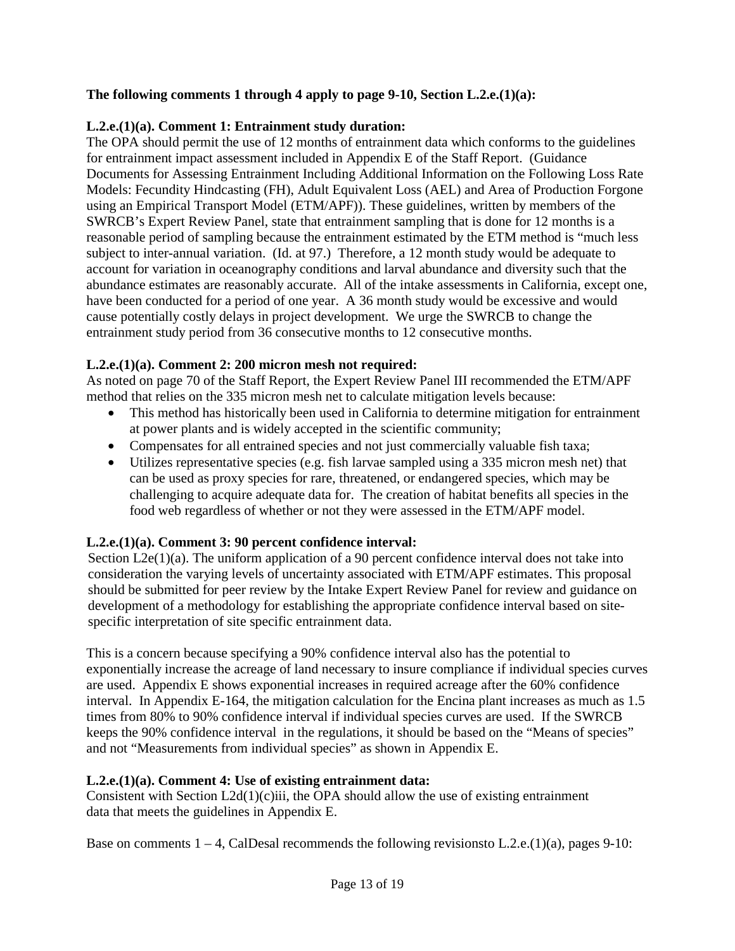## **The following comments 1 through 4 apply to page 9-10, Section L.2.e.(1)(a):**

## **L.2.e.(1)(a). Comment 1: Entrainment study duration:**

The OPA should permit the use of 12 months of entrainment data which conforms to the guidelines for entrainment impact assessment included in Appendix E of the Staff Report. (Guidance Documents for Assessing Entrainment Including Additional Information on the Following Loss Rate Models: Fecundity Hindcasting (FH), Adult Equivalent Loss (AEL) and Area of Production Forgone using an Empirical Transport Model (ETM/APF)). These guidelines, written by members of the SWRCB's Expert Review Panel, state that entrainment sampling that is done for 12 months is a reasonable period of sampling because the entrainment estimated by the ETM method is "much less subject to inter-annual variation. (Id. at 97.) Therefore, a 12 month study would be adequate to account for variation in oceanography conditions and larval abundance and diversity such that the abundance estimates are reasonably accurate. All of the intake assessments in California, except one, have been conducted for a period of one year. A 36 month study would be excessive and would cause potentially costly delays in project development. We urge the SWRCB to change the entrainment study period from 36 consecutive months to 12 consecutive months.

## **L.2.e.(1)(a). Comment 2: 200 micron mesh not required:**

As noted on page 70 of the Staff Report, the Expert Review Panel III recommended the ETM/APF method that relies on the 335 micron mesh net to calculate mitigation levels because:

- This method has historically been used in California to determine mitigation for entrainment at power plants and is widely accepted in the scientific community;
- Compensates for all entrained species and not just commercially valuable fish taxa;
- Utilizes representative species (e.g. fish larvae sampled using a 335 micron mesh net) that can be used as proxy species for rare, threatened, or endangered species, which may be challenging to acquire adequate data for. The creation of habitat benefits all species in the food web regardless of whether or not they were assessed in the ETM/APF model.

## **L.2.e.(1)(a). Comment 3: 90 percent confidence interval:**

Section L2e(1)(a). The uniform application of a 90 percent confidence interval does not take into consideration the varying levels of uncertainty associated with ETM/APF estimates. This proposal should be submitted for peer review by the Intake Expert Review Panel for review and guidance on development of a methodology for establishing the appropriate confidence interval based on sitespecific interpretation of site specific entrainment data.

This is a concern because specifying a 90% confidence interval also has the potential to exponentially increase the acreage of land necessary to insure compliance if individual species curves are used. Appendix E shows exponential increases in required acreage after the 60% confidence interval. In Appendix E-164, the mitigation calculation for the Encina plant increases as much as 1.5 times from 80% to 90% confidence interval if individual species curves are used. If the SWRCB keeps the 90% confidence interval in the regulations, it should be based on the "Means of species" and not "Measurements from individual species" as shown in Appendix E.

## **L.2.e.(1)(a). Comment 4: Use of existing entrainment data:**

Consistent with Section  $L2d(1)(c)$ iii, the OPA should allow the use of existing entrainment data that meets the guidelines in Appendix E.

Base on comments  $1 - 4$ , CalDesal recommends the following revisions to L.2.e.(1)(a), pages 9-10: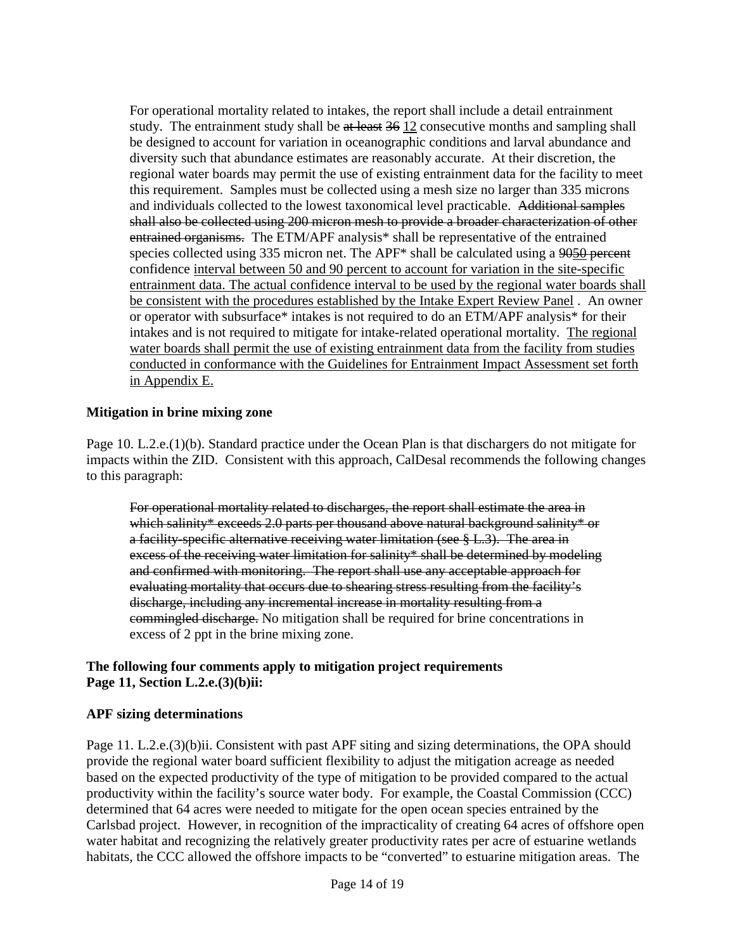For operational mortality related to intakes, the report shall include a detail entrainment study. The entrainment study shall be at least 36 12 consecutive months and sampling shall be designed to account for variation in oceanographic conditions and larval abundance and diversity such that abundance estimates are reasonably accurate. At their discretion, the regional water boards may permit the use of existing entrainment data for the facility to meet this requirement. Samples must be collected using a mesh size no larger than 335 microns and individuals collected to the lowest taxonomical level practicable. Additional samples shall also be collected using 200 micron mesh to provide a broader characterization of other entrained organisms. The ETM/APF analysis\* shall be representative of the entrained species collected using 335 micron net. The APF<sup>\*</sup> shall be calculated using a 9050 percent confidence interval between 50 and 90 percent to account for variation in the site-specific entrainment data. The actual confidence interval to be used by the regional water boards shall be consistent with the procedures established by the Intake Expert Review Panel . An owner or operator with subsurface\* intakes is not required to do an ETM/APF analysis\* for their intakes and is not required to mitigate for intake-related operational mortality. The regional water boards shall permit the use of existing entrainment data from the facility from studies conducted in conformance with the Guidelines for Entrainment Impact Assessment set forth in Appendix E.

#### **Mitigation in brine mixing zone**

Page 10. L.2.e.(1)(b). Standard practice under the Ocean Plan is that dischargers do not mitigate for impacts within the ZID. Consistent with this approach, CalDesal recommends the following changes to this paragraph:

For operational mortality related to discharges, the report shall estimate the area in which salinity\* exceeds 2.0 parts per thousand above natural background salinity\* or a facility specific alternative receiving water limitation (see § L.3). The area in excess of the receiving water limitation for salinity\* shall be determined by modeling and confirmed with monitoring. The report shall use any acceptable approach for evaluating mortality that occurs due to shearing stress resulting from the facility's discharge, including any incremental increase in mortality resulting from a commingled discharge. No mitigation shall be required for brine concentrations in excess of 2 ppt in the brine mixing zone.

#### **The following four comments apply to mitigation project requirements Page 11, Section L.2.e.(3)(b)ii:**

#### **APF sizing determinations**

Page 11. L.2.e.(3)(b)ii. Consistent with past APF siting and sizing determinations, the OPA should provide the regional water board sufficient flexibility to adjust the mitigation acreage as needed based on the expected productivity of the type of mitigation to be provided compared to the actual productivity within the facility's source water body. For example, the Coastal Commission (CCC) determined that 64 acres were needed to mitigate for the open ocean species entrained by the Carlsbad project. However, in recognition of the impracticality of creating 64 acres of offshore open water habitat and recognizing the relatively greater productivity rates per acre of estuarine wetlands habitats, the CCC allowed the offshore impacts to be "converted" to estuarine mitigation areas. The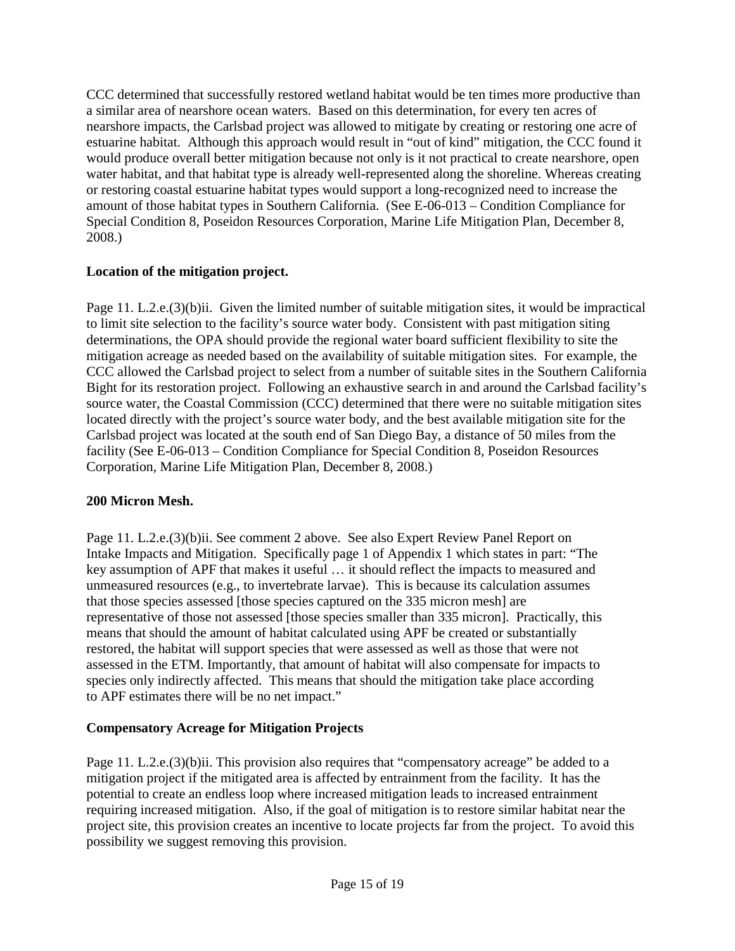CCC determined that successfully restored wetland habitat would be ten times more productive than a similar area of nearshore ocean waters. Based on this determination, for every ten acres of nearshore impacts, the Carlsbad project was allowed to mitigate by creating or restoring one acre of estuarine habitat. Although this approach would result in "out of kind" mitigation, the CCC found it would produce overall better mitigation because not only is it not practical to create nearshore, open water habitat, and that habitat type is already well-represented along the shoreline. Whereas creating or restoring coastal estuarine habitat types would support a long-recognized need to increase the amount of those habitat types in Southern California. (See E-06-013 – Condition Compliance for Special Condition 8, Poseidon Resources Corporation, Marine Life Mitigation Plan, December 8, 2008.)

## **Location of the mitigation project.**

Page 11. L.2.e.(3)(b)ii. Given the limited number of suitable mitigation sites, it would be impractical to limit site selection to the facility's source water body. Consistent with past mitigation siting determinations, the OPA should provide the regional water board sufficient flexibility to site the mitigation acreage as needed based on the availability of suitable mitigation sites. For example, the CCC allowed the Carlsbad project to select from a number of suitable sites in the Southern California Bight for its restoration project. Following an exhaustive search in and around the Carlsbad facility's source water, the Coastal Commission (CCC) determined that there were no suitable mitigation sites located directly with the project's source water body, and the best available mitigation site for the Carlsbad project was located at the south end of San Diego Bay, a distance of 50 miles from the facility (See E-06-013 – Condition Compliance for Special Condition 8, Poseidon Resources Corporation, Marine Life Mitigation Plan, December 8, 2008.)

## **200 Micron Mesh.**

Page 11. L.2.e.(3)(b)ii. See comment 2 above. See also Expert Review Panel Report on Intake Impacts and Mitigation. Specifically page 1 of Appendix 1 which states in part: "The key assumption of APF that makes it useful … it should reflect the impacts to measured and unmeasured resources (e.g., to invertebrate larvae). This is because its calculation assumes that those species assessed [those species captured on the 335 micron mesh] are representative of those not assessed [those species smaller than 335 micron]. Practically, this means that should the amount of habitat calculated using APF be created or substantially restored, the habitat will support species that were assessed as well as those that were not assessed in the ETM. Importantly, that amount of habitat will also compensate for impacts to species only indirectly affected. This means that should the mitigation take place according to APF estimates there will be no net impact."

## **Compensatory Acreage for Mitigation Projects**

Page 11. L.2.e.(3)(b)ii. This provision also requires that "compensatory acreage" be added to a mitigation project if the mitigated area is affected by entrainment from the facility. It has the potential to create an endless loop where increased mitigation leads to increased entrainment requiring increased mitigation. Also, if the goal of mitigation is to restore similar habitat near the project site, this provision creates an incentive to locate projects far from the project. To avoid this possibility we suggest removing this provision.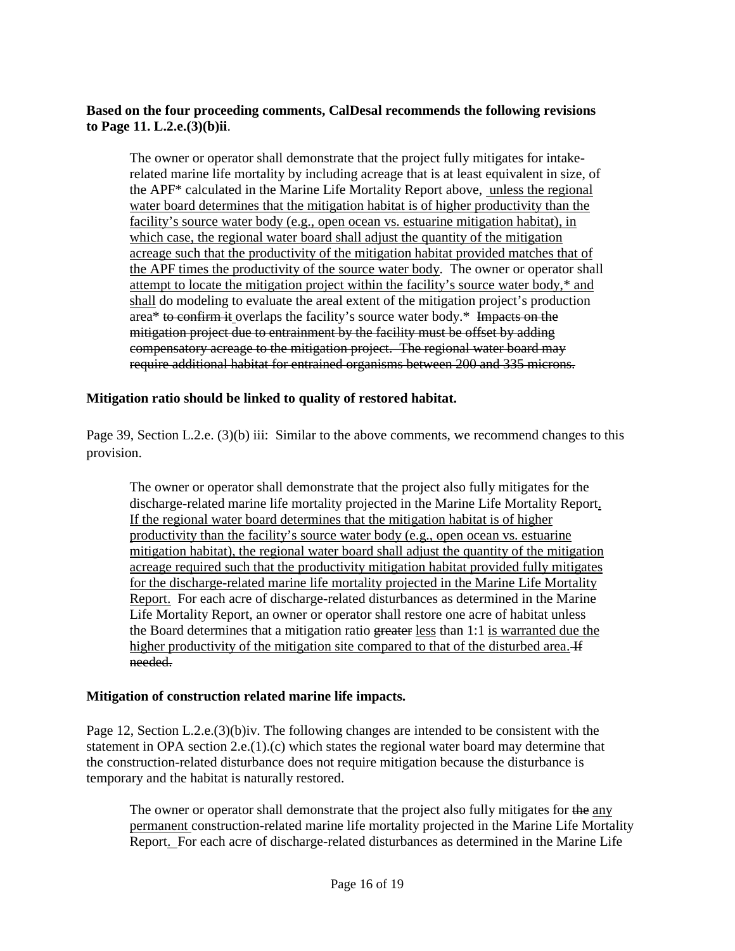#### **Based on the four proceeding comments, CalDesal recommends the following revisions to Page 11. L.2.e.(3)(b)ii**.

The owner or operator shall demonstrate that the project fully mitigates for intakerelated marine life mortality by including acreage that is at least equivalent in size, of the APF\* calculated in the Marine Life Mortality Report above, unless the regional water board determines that the mitigation habitat is of higher productivity than the facility's source water body (e.g., open ocean vs. estuarine mitigation habitat), in which case, the regional water board shall adjust the quantity of the mitigation acreage such that the productivity of the mitigation habitat provided matches that of the APF times the productivity of the source water body. The owner or operator shall attempt to locate the mitigation project within the facility's source water body,\* and shall do modeling to evaluate the areal extent of the mitigation project's production area\* to confirm it overlaps the facility's source water body.\* Impacts on the mitigation project due to entrainment by the facility must be offset by adding compensatory acreage to the mitigation project. The regional water board may require additional habitat for entrained organisms between 200 and 335 microns.

#### **Mitigation ratio should be linked to quality of restored habitat.**

Page 39, Section L.2.e. (3)(b) iii: Similar to the above comments, we recommend changes to this provision.

The owner or operator shall demonstrate that the project also fully mitigates for the discharge-related marine life mortality projected in the Marine Life Mortality Report. If the regional water board determines that the mitigation habitat is of higher productivity than the facility's source water body (e.g., open ocean vs. estuarine mitigation habitat), the regional water board shall adjust the quantity of the mitigation acreage required such that the productivity mitigation habitat provided fully mitigates for the discharge-related marine life mortality projected in the Marine Life Mortality Report. For each acre of discharge-related disturbances as determined in the Marine Life Mortality Report, an owner or operator shall restore one acre of habitat unless the Board determines that a mitigation ratio greater less than 1:1 is warranted due the higher productivity of the mitigation site compared to that of the disturbed area. H needed.

#### **Mitigation of construction related marine life impacts.**

Page 12, Section L.2.e.(3)(b)iv. The following changes are intended to be consistent with the statement in OPA section 2.e.(1).(c) which states the regional water board may determine that the construction-related disturbance does not require mitigation because the disturbance is temporary and the habitat is naturally restored.

The owner or operator shall demonstrate that the project also fully mitigates for the any permanent construction-related marine life mortality projected in the Marine Life Mortality Report. For each acre of discharge-related disturbances as determined in the Marine Life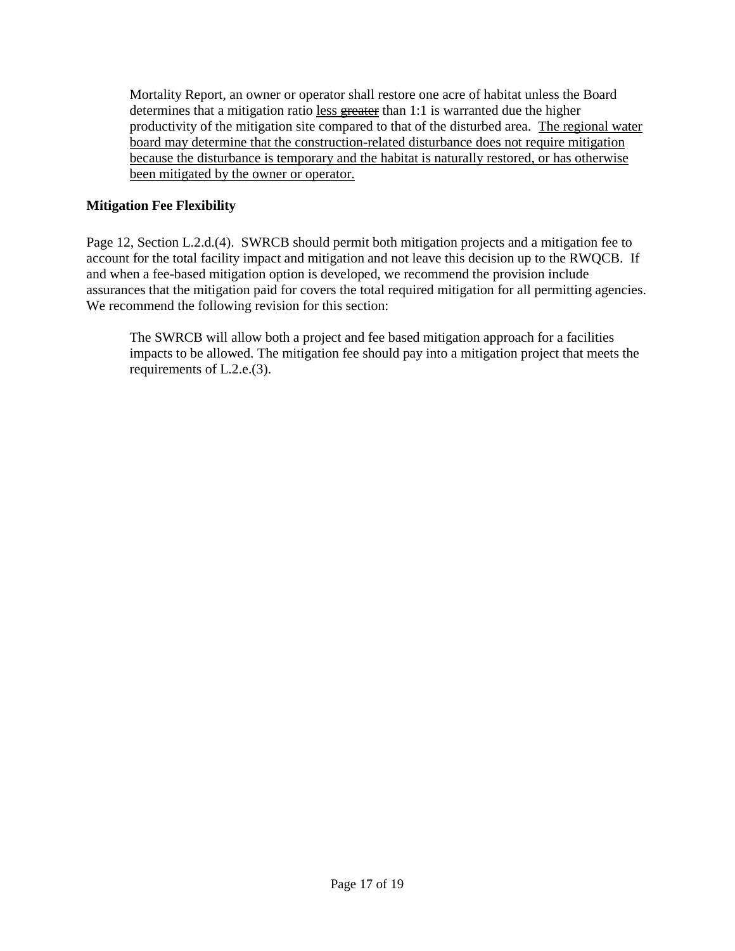Mortality Report, an owner or operator shall restore one acre of habitat unless the Board determines that a mitigation ratio less greater than 1:1 is warranted due the higher productivity of the mitigation site compared to that of the disturbed area. The regional water board may determine that the construction-related disturbance does not require mitigation because the disturbance is temporary and the habitat is naturally restored, or has otherwise been mitigated by the owner or operator.

## **Mitigation Fee Flexibility**

Page 12, Section L.2.d.(4). SWRCB should permit both mitigation projects and a mitigation fee to account for the total facility impact and mitigation and not leave this decision up to the RWQCB. If and when a fee-based mitigation option is developed, we recommend the provision include assurances that the mitigation paid for covers the total required mitigation for all permitting agencies. We recommend the following revision for this section:

The SWRCB will allow both a project and fee based mitigation approach for a facilities impacts to be allowed. The mitigation fee should pay into a mitigation project that meets the requirements of L.2.e.(3).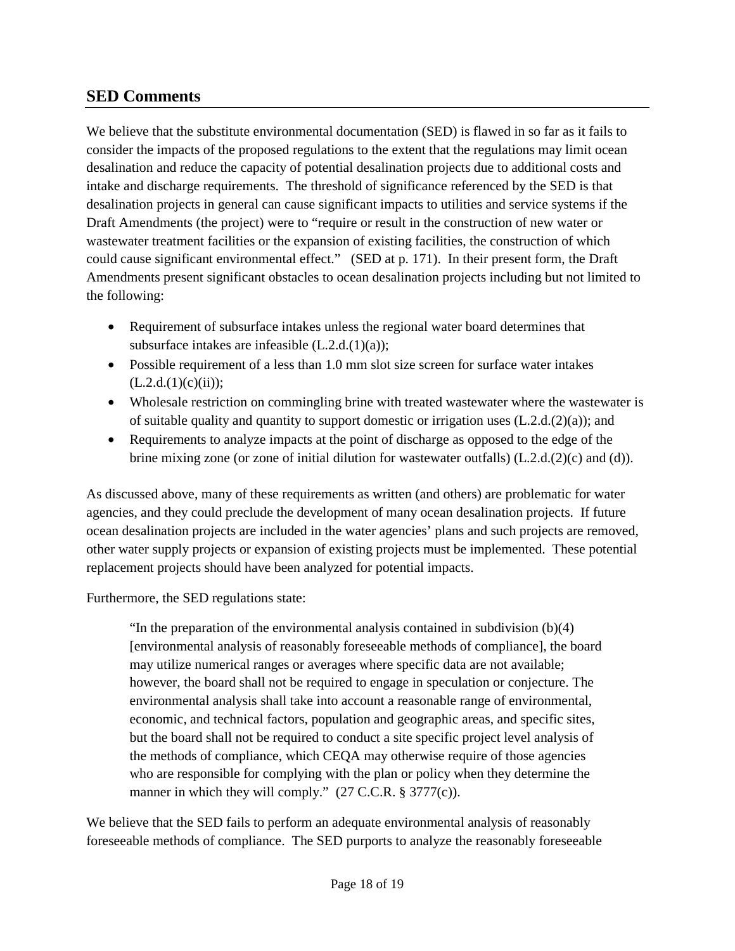## **SED Comments**

We believe that the substitute environmental documentation (SED) is flawed in so far as it fails to consider the impacts of the proposed regulations to the extent that the regulations may limit ocean desalination and reduce the capacity of potential desalination projects due to additional costs and intake and discharge requirements. The threshold of significance referenced by the SED is that desalination projects in general can cause significant impacts to utilities and service systems if the Draft Amendments (the project) were to "require or result in the construction of new water or wastewater treatment facilities or the expansion of existing facilities, the construction of which could cause significant environmental effect." (SED at p. 171). In their present form, the Draft Amendments present significant obstacles to ocean desalination projects including but not limited to the following:

- Requirement of subsurface intakes unless the regional water board determines that subsurface intakes are infeasible (L.2.d.(1)(a));
- Possible requirement of a less than 1.0 mm slot size screen for surface water intakes  $(L.2.d.(1)(c)(ii));$
- Wholesale restriction on commingling brine with treated wastewater where the wastewater is of suitable quality and quantity to support domestic or irrigation uses  $(L.2.d.(2)(a))$ ; and
- Requirements to analyze impacts at the point of discharge as opposed to the edge of the brine mixing zone (or zone of initial dilution for wastewater outfalls) (L.2.d.(2)(c) and (d)).

As discussed above, many of these requirements as written (and others) are problematic for water agencies, and they could preclude the development of many ocean desalination projects. If future ocean desalination projects are included in the water agencies' plans and such projects are removed, other water supply projects or expansion of existing projects must be implemented. These potential replacement projects should have been analyzed for potential impacts.

Furthermore, the SED regulations state:

"In the preparation of the environmental analysis contained in subdivision (b)(4) [environmental analysis of reasonably foreseeable methods of compliance], the board may utilize numerical ranges or averages where specific data are not available; however, the board shall not be required to engage in speculation or conjecture. The environmental analysis shall take into account a reasonable range of environmental, economic, and technical factors, population and geographic areas, and specific sites, but the board shall not be required to conduct a site specific project level analysis of the methods of compliance, which CEQA may otherwise require of those agencies who are responsible for complying with the plan or policy when they determine the manner in which they will comply." (27 C.C.R. § 3777(c)).

We believe that the SED fails to perform an adequate environmental analysis of reasonably foreseeable methods of compliance. The SED purports to analyze the reasonably foreseeable